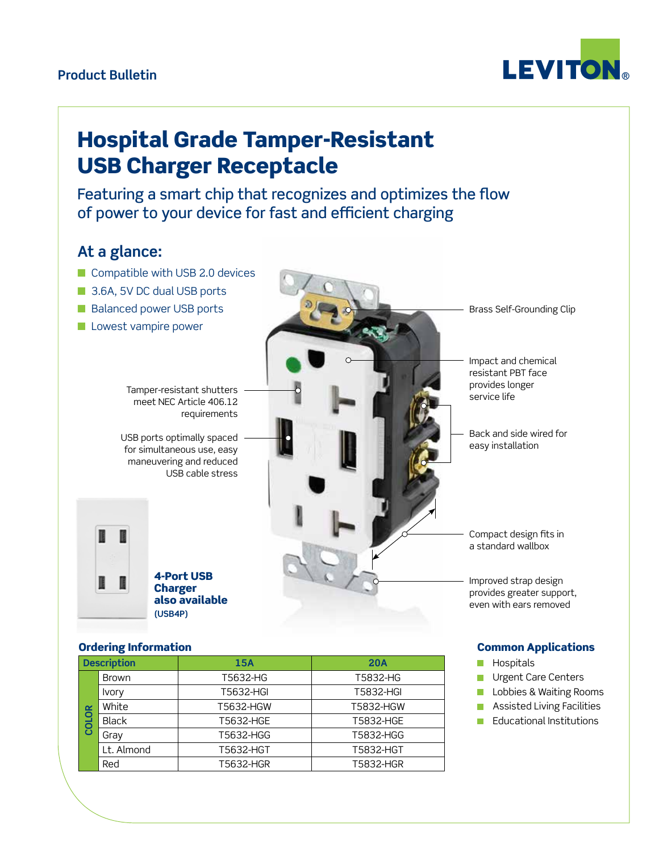### **Product Bulletin**



# Hospital Grade Tamper-Resistant USB Charger Receptacle

Featuring a smart chip that recognizes and optimizes the flow of power to your device for fast and efficient charging

## **At a glance:**

- $\blacksquare$  Compatible with USB 2.0 devices
- 3.6A, 5V DC dual USB ports
- Balanced power USB ports
- **n** Lowest vampire power

Tamper-resistant shutters meet NEC Article 406.12 requirements

USB ports optimally spaced for simultaneous use, easy maneuvering and reduced USB cable stress

4-Port USB **Charger** also available **(USB4P)**

Brass Self-Grounding Clip

Impact and chemical resistant PBT face provides longer service life

Back and side wired for easy installation

Compact design fits in a standard wallbox

Improved strap design provides greater support, even with ears removed

#### Ordering Information

| <b>Description</b> |              | 15A       | <b>20A</b> |
|--------------------|--------------|-----------|------------|
| $\alpha$<br>COLO   | <b>Brown</b> | T5632-HG  | T5832-HG   |
|                    | <b>Ivory</b> | T5632-HGI | T5832-HGI  |
|                    | White        | T5632-HGW | T5832-HGW  |
|                    | <b>Black</b> | T5632-HGE | T5832-HGE  |
|                    | Gray         | T5632-HGG | T5832-HGG  |
|                    | Lt. Almond   | T5632-HGT | T5832-HGT  |
|                    | Red          | T5632-HGR | T5832-HGR  |

#### Common Applications

- Hospitals  $\Box$
- Urgent Care Centers П
- Lobbies & Waiting Rooms  $\Box$
- Assisted Living Facilities  $\Box$
- **Educational Institutions**